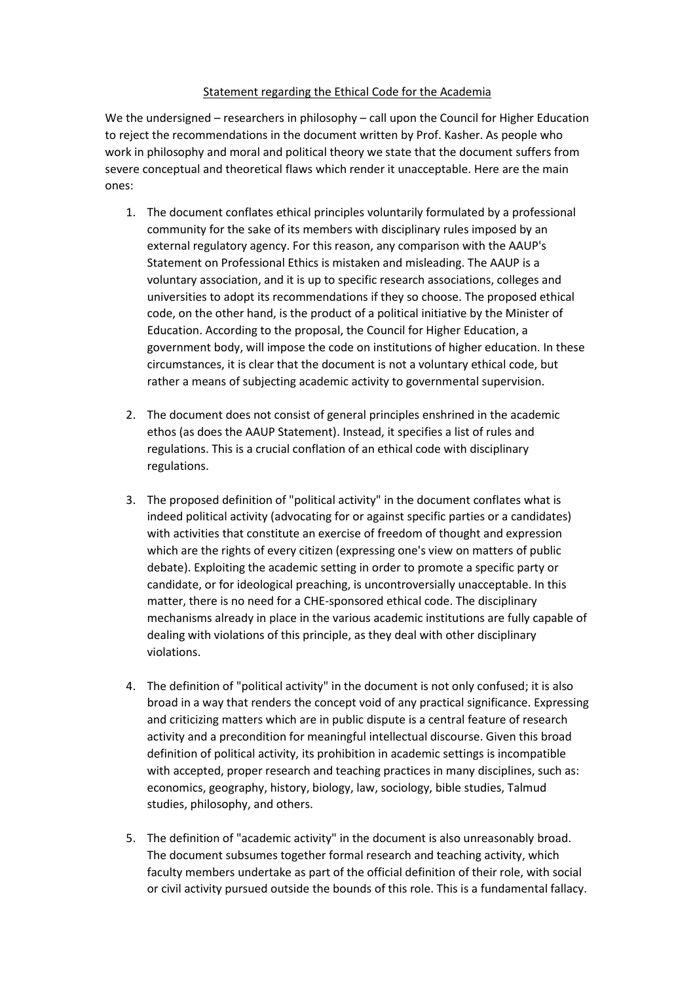## Statement regarding the Ethical Code for the Academia

We the undersigned – researchers in philosophy – call upon the Council for Higher Education to reject the recommendations in the document written by Prof. Kasher. As people who work in philosophy and moral and political theory we state that the document suffers from severe conceptual and theoretical flaws which render it unacceptable. Here are the main ones:

- 1. The document conflates ethical principles voluntarily formulated by a professional community for the sake of its members with disciplinary rules imposed by an external regulatory agency. For this reason, any comparison with the AAUP's Statement on Professional Ethics is mistaken and misleading. The AAUP is a voluntary association, and it is up to specific research associations, colleges and universities to adopt its recommendations if they so choose. The proposed ethical code, on the other hand, is the product of a political initiative by the Minister of Education. According to the proposal, the Council for Higher Education, a government body, will impose the code on institutions of higher education. In these circumstances, it is clear that the document is not a voluntary ethical code, but rather a means of subjecting academic activity to governmental supervision.
- 2. The document does not consist of general principles enshrined in the academic ethos (as does the AAUP Statement). Instead, it specifies a list of rules and regulations. This is a crucial conflation of an ethical code with disciplinary regulations.
- 3. The proposed definition of "political activity" in the document conflates what is indeed political activity (advocating for or against specific parties or a candidates) with activities that constitute an exercise of freedom of thought and expression which are the rights of every citizen (expressing one's view on matters of public debate). Exploiting the academic setting in order to promote a specific party or candidate, or for ideological preaching, is uncontroversially unacceptable. In this matter, there is no need for a CHE-sponsored ethical code. The disciplinary mechanisms already in place in the various academic institutions are fully capable of dealing with violations of this principle, as they deal with other disciplinary violations.
- 4. The definition of "political activity" in the document is not only confused; it is also broad in a way that renders the concept void of any practical significance. Expressing and criticizing matters which are in public dispute is a central feature of research activity and a precondition for meaningful intellectual discourse. Given this broad definition of political activity, its prohibition in academic settings is incompatible with accepted, proper research and teaching practices in many disciplines, such as: economics, geography, history, biology, law, sociology, bible studies, Talmud studies, philosophy, and others.
- 5. The definition of "academic activity" in the document is also unreasonably broad. The document subsumes together formal research and teaching activity, which faculty members undertake as part of the official definition of their role, with social or civil activity pursued outside the bounds of this role. This is a fundamental fallacy.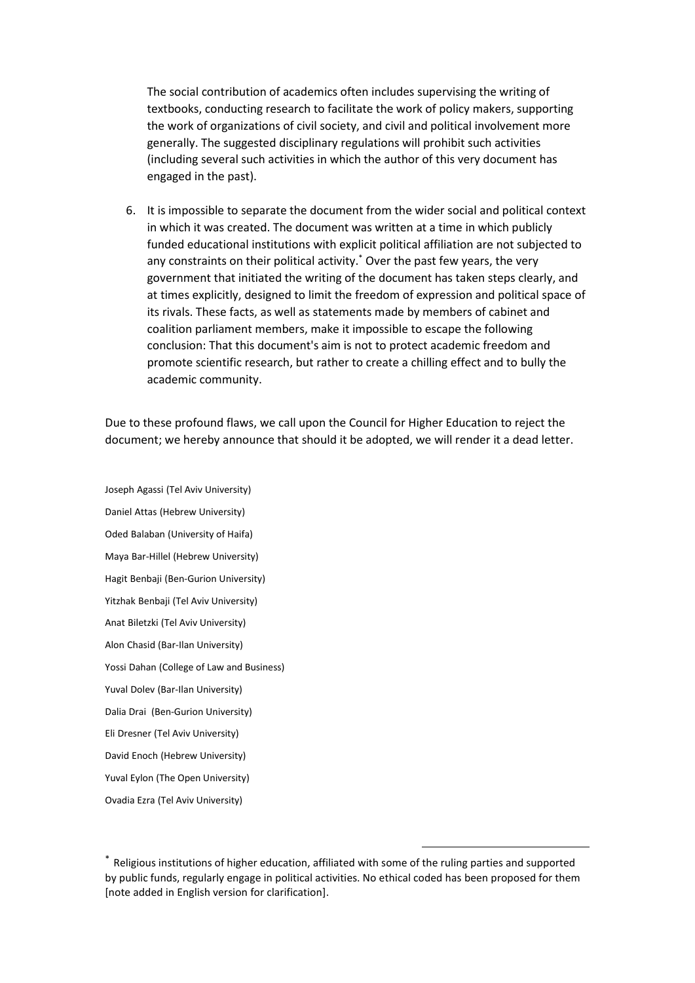The social contribution of academics often includes supervising the writing of textbooks, conducting research to facilitate the work of policy makers, supporting the work of organizations of civil society, and civil and political involvement more generally. The suggested disciplinary regulations will prohibit such activities (including several such activities in which the author of this very document has engaged in the past).

6. It is impossible to separate the document from the wider social and political context in which it was created. The document was written at a time in which publicly funded educational institutions with explicit political affiliation are not subjected to any constraints on their political activity. \* Over the past few years, the very government that initiated the writing of the document has taken steps clearly, and at times explicitly, designed to limit the freedom of expression and political space of its rivals. These facts, as well as statements made by members of cabinet and coalition parliament members, make it impossible to escape the following conclusion: That this document's aim is not to protect academic freedom and promote scientific research, but rather to create a chilling effect and to bully the academic community.

Due to these profound flaws, we call upon the Council for Higher Education to reject the document; we hereby announce that should it be adopted, we will render it a dead letter.

Joseph Agassi (Tel Aviv University) Daniel Attas (Hebrew University) Oded Balaban (University of Haifa) Maya Bar-Hillel (Hebrew University) Hagit Benbaji (Ben-Gurion University) Yitzhak Benbaji (Tel Aviv University) Anat Biletzki (Tel Aviv University) Alon Chasid (Bar-Ilan University) Yossi Dahan (College of Law and Business) Yuval Dolev (Bar-Ilan University) Dalia Drai (Ben-Gurion University) Eli Dresner (Tel Aviv University) David Enoch (Hebrew University) Yuval Eylon (The Open University) Ovadia Ezra (Tel Aviv University)

1

<sup>\*</sup> Religious institutions of higher education, affiliated with some of the ruling parties and supported by public funds, regularly engage in political activities. No ethical coded has been proposed for them [note added in English version for clarification].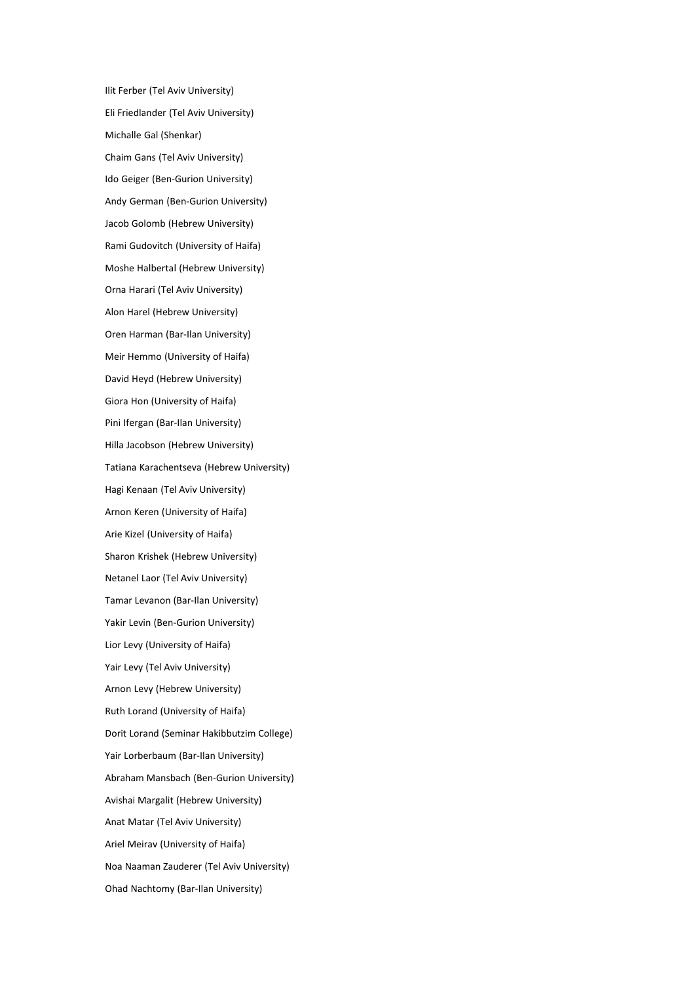Ilit Ferber (Tel Aviv University) Eli Friedlander (Tel Aviv University) Michalle Gal (Shenkar) Chaim Gans (Tel Aviv University) Ido Geiger (Ben-Gurion University) Andy German (Ben-Gurion University) Jacob Golomb (Hebrew University) Rami Gudovitch (University of Haifa) Moshe Halbertal (Hebrew University) Orna Harari (Tel Aviv University) Alon Harel (Hebrew University) Oren Harman (Bar-Ilan University) Meir Hemmo (University of Haifa) David Heyd (Hebrew University) Giora Hon (University of Haifa) Pini Ifergan (Bar-Ilan University) Hilla Jacobson (Hebrew University) Tatiana Karachentseva (Hebrew University) Hagi Kenaan (Tel Aviv University) Arnon Keren (University of Haifa) Arie Kizel (University of Haifa) Sharon Krishek (Hebrew University) Netanel Laor (Tel Aviv University) Tamar Levanon (Bar-Ilan University) Yakir Levin (Ben-Gurion University) Lior Levy (University of Haifa) Yair Levy (Tel Aviv University) Arnon Levy (Hebrew University) Ruth Lorand (University of Haifa) Dorit Lorand (Seminar Hakibbutzim College) Yair Lorberbaum (Bar-Ilan University) Abraham Mansbach (Ben-Gurion University) Avishai Margalit (Hebrew University) Anat Matar (Tel Aviv University) Ariel Meirav (University of Haifa) Noa Naaman Zauderer (Tel Aviv University) Ohad Nachtomy (Bar-Ilan University)